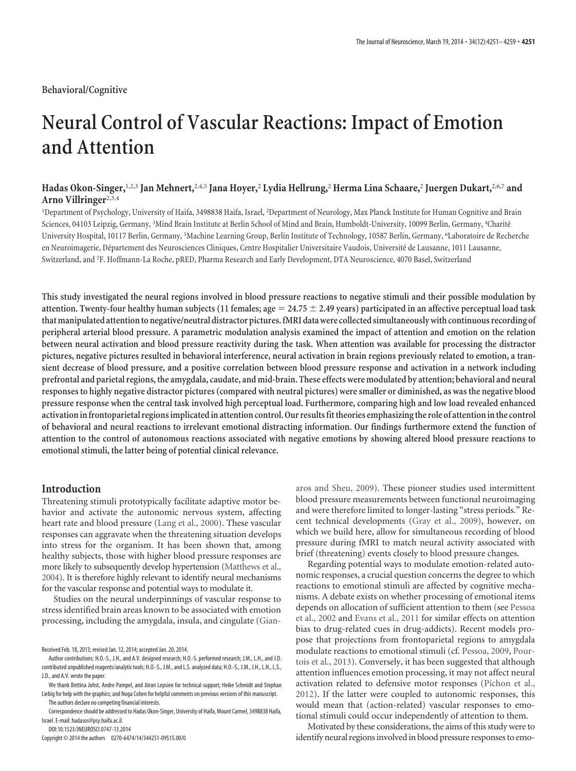## **Behavioral/Cognitive**

# **Neural Control of Vascular Reactions: Impact of Emotion and Attention**

# **Hadas Okon-Singer,**1,2,3 **Jan Mehnert,**2,4,5 **Jana Hoyer,**<sup>2</sup> **Lydia Hellrung,**<sup>2</sup> **Herma Lina Schaare,**<sup>2</sup> **Juergen Dukart,**2,6,7 **and Arno Villringer**2,3,4

<sup>1</sup>Department of Psychology, University of Haifa, 3498838 Haifa, Israel, <sup>2</sup>Department of Neurology, Max Planck Institute for Human Cognitive and Brain Sciences, 04103 Leipzig, Germany, <sup>3</sup>Mind Brain Institute at Berlin School of Mind and Brain, Humboldt-University, 10099 Berlin, Germany, <sup>4</sup>Charité University Hospital, 10117 Berlin, Germany, <sup>5</sup>Machine Learning Group, Berlin Institute of Technology, 10587 Berlin, Germany, <sup>6</sup>Laboratoire de Recherche en Neuroimagerie, Département des Neurosciences Cliniques, Centre Hospitalier Universitaire Vaudois, Université de Lausanne, 1011 Lausanne, Switzerland, and <sup>7</sup> F. Hoffmann-La Roche, pRED, Pharma Research and Early Development, DTA Neuroscience, 4070 Basel, Switzerland

**This study investigated the neural regions involved in blood pressure reactions to negative stimuli and their possible modulation by** attention. Twenty-four healthy human subjects (11 females; age = 24.75  $\pm$  2.49 years) participated in an affective perceptual load task **thatmanipulated attentionto negative/neutral distractor pictures.fMRI data were collected simultaneously with continuous recording of peripheral arterial blood pressure. A parametric modulation analysis examined the impact of attention and emotion on the relation between neural activation and blood pressure reactivity during the task. When attention was available for processing the distractor pictures, negative pictures resulted in behavioral interference, neural activation in brain regions previously related to emotion, a transient decrease of blood pressure, and a positive correlation between blood pressure response and activation in a network including prefrontal and parietal regions, the amygdala, caudate, and mid-brain. These effects were modulated by attention; behavioral and neural responses to highly negative distractor pictures (compared with neutral pictures) were smaller or diminished, as was the negative blood pressure response when the central task involved high perceptual load. Furthermore, comparing high and low load revealed enhanced activation infrontoparietal regions implicated in attention control. Our resultsfittheories emphasizingthe role of attention inthe control of behavioral and neural reactions to irrelevant emotional distracting information. Our findings furthermore extend the function of attention to the control of autonomous reactions associated with negative emotions by showing altered blood pressure reactions to emotional stimuli, the latter being of potential clinical relevance.**

# **Introduction**

Threatening stimuli prototypically facilitate adaptive motor behavior and activate the autonomic nervous system, affecting heart rate and blood pressure [\(Lang et al., 2000\)](#page-8-0). These vascular responses can aggravate when the threatening situation develops into stress for the organism. It has been shown that, among healthy subjects, those with higher blood pressure responses are more likely to subsequently develop hypertension [\(Matthews et al.,](#page-8-1) [2004\)](#page-8-1). It is therefore highly relevant to identify neural mechanisms for the vascular response and potential ways to modulate it.

Studies on the neural underpinnings of vascular response to stress identified brain areas known to be associated with emotion processing, including the amygdala, insula, and cingulate [\(Gian-](#page-8-2)

DOI:10.1523/JNEUROSCI.0747-13.2014

Copyright © 2014 the authors 0270-6474/14/344251-09\$15.00/0

[aros and Sheu, 2009\)](#page-8-2). These pioneer studies used intermittent blood pressure measurements between functional neuroimaging and were therefore limited to longer-lasting "stress periods." Recent technical developments [\(Gray et al., 2009\)](#page-8-3), however, on which we build here, allow for simultaneous recording of blood pressure during fMRI to match neural activity associated with brief (threatening) events closely to blood pressure changes.

Regarding potential ways to modulate emotion-related autonomic responses, a crucial question concerns the degree to which reactions to emotional stimuli are affected by cognitive mechanisms. A debate exists on whether processing of emotional items depends on allocation of sufficient attention to them (see [Pessoa](#page-8-4) [et al., 2002](#page-8-4) and [Evans et al., 2011](#page-8-5) for similar effects on attention bias to drug-related cues in drug-addicts). Recent models propose that projections from frontoparietal regions to amygdala modulate reactions to emotional stimuli (cf. [Pessoa, 2009,](#page-8-6) [Pour](#page-8-7)[tois et al., 2013\)](#page-8-7). Conversely, it has been suggested that although attention influences emotion processing, it may not affect neural activation related to defensive motor responses [\(Pichon et al.,](#page-8-8) [2012\)](#page-8-8). If the latter were coupled to autonomic responses, this would mean that (action-related) vascular responses to emotional stimuli could occur independently of attention to them.

Motivated by these considerations, the aims of this study were to identify neural regions involved in blood pressure responses to emo-

Received Feb. 18, 2013; revised Jan. 12, 2014; accepted Jan. 20, 2014.

Author contributions: H.O.-S., J.H., and A.V. designed research; H.O.-S. performed research; J.M., L.H., and J.D. contributed unpublished reagents/analytic tools; H.O.-S., J.M., and L.S. analyzed data; H.O.-S., J.M., J.H., L.H., L.S., J.D., and A.V. wrote the paper.

We thank Bettina Johst, Andre Pampel, and Jöran Lepsien for technical support; Heike Schmidt and Stephan Liebig for help with the graphics; and Noga Cohen for helpful comments on previous versions of this manuscript. The authors declare no competing financial interests.

Correspondence should be addressed to Hadas Okon-Singer, University of Haifa, Mount Carmel, 3498838 Haifa, Israel. E-mail: hadasos@psy.haifa.ac.il.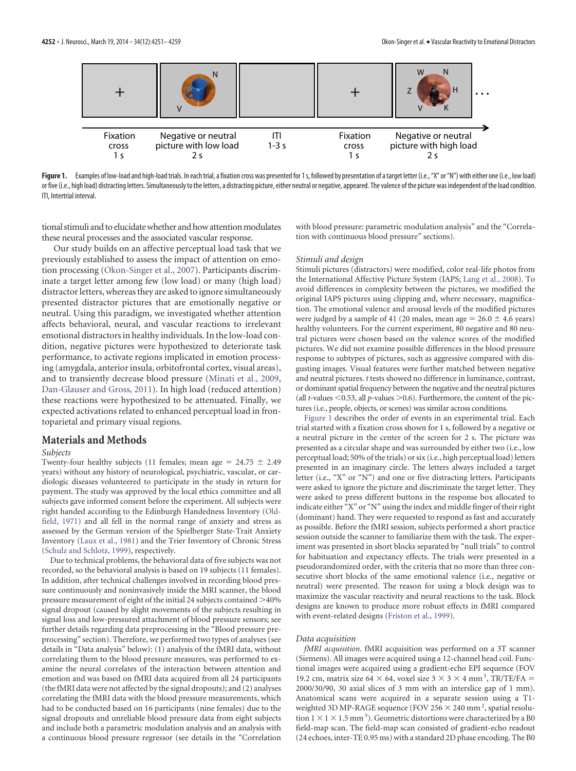

<span id="page-1-0"></span>Figure 1. Examples of low-load and high-load trials. In each trial, a fixation cross was presented for 1s, followed by presentation of a target letter (i.e., "X" or "N") with either one (i.e., low load) or five (i.e., high load) distracting letters. Simultaneously to the letters, a distracting picture, either neutral or negative, appeared. The valence of the picture was independent of the load condition. ITI, Intertrial interval.

tional stimuli and to elucidate whether and how attention modulates these neural processes and the associated vascular response.

Our study builds on an affective perceptual load task that we previously established to assess the impact of attention on emotion processing [\(Okon-Singer et al., 2007\)](#page-8-9). Participants discriminate a target letter among few (low load) or many (high load) distractor letters, whereas they are asked to ignore simultaneously presented distractor pictures that are emotionally negative or neutral. Using this paradigm, we investigated whether attention affects behavioral, neural, and vascular reactions to irrelevant emotional distractors in healthy individuals. In the low-load condition, negative pictures were hypothesized to deteriorate task performance, to activate regions implicated in emotion processing (amygdala, anterior insula, orbitofrontal cortex, visual areas), and to transiently decrease blood pressure [\(Minati et al., 2009,](#page-8-10) [Dan-Glauser and Gross, 2011\)](#page-8-11). In high load (reduced attention) these reactions were hypothesized to be attenuated. Finally, we expected activations related to enhanced perceptual load in frontoparietal and primary visual regions.

# **Materials and Methods**

## *Subjects*

Twenty-four healthy subjects (11 females; mean age =  $24.75 \pm 2.49$ years) without any history of neurological, psychiatric, vascular, or cardiologic diseases volunteered to participate in the study in return for payment. The study was approved by the local ethics committee and all subjects gave informed consent before the experiment. All subjects were right handed according to the Edinburgh Handedness Inventory [\(Old](#page-8-12)[field, 1971\)](#page-8-12) and all fell in the normal range of anxiety and stress as assessed by the German version of the Spielberger State-Trait Anxiety Inventory [\(Laux et al., 1981\)](#page-8-13) and the Trier Inventory of Chronic Stress [\(Schulz and Schlotz, 1999\)](#page-8-14), respectively.

Due to technical problems, the behavioral data of five subjects was not recorded, so the behavioral analysis is based on 19 subjects (11 females). In addition, after technical challenges involved in recording blood pressure continuously and noninvasively inside the MRI scanner, the blood pressure measurement of eight of the initial 24 subjects contained  $>$ 40% signal dropout (caused by slight movements of the subjects resulting in signal loss and low-pressured attachment of blood pressure sensors; see further details regarding data preprocessing in the "Blood pressure preprocessing" section). Therefore, we performed two types of analyses (see details in "Data analysis" below): (1) analysis of the fMRI data, without correlating them to the blood pressure measures, was performed to examine the neural correlates of the interaction between attention and emotion and was based on fMRI data acquired from all 24 participants (the fMRI data were not affected by the signal dropouts); and (2) analyses correlating the fMRI data with the blood pressure measurements, which had to be conducted based on 16 participants (nine females) due to the signal dropouts and unreliable blood pressure data from eight subjects and include both a parametric modulation analysis and an analysis with a continuous blood pressure regressor (see details in the "Correlation

with blood pressure: parametric modulation analysis" and the "Correlation with continuous blood pressure" sections).

## *Stimuli and design*

Stimuli pictures (distractors) were modified, color real-life photos from the International Affective Picture System (IAPS; [Lang et al., 2008\)](#page-8-15). To avoid differences in complexity between the pictures, we modified the original IAPS pictures using clipping and, where necessary, magnification. The emotional valence and arousal levels of the modified pictures were judged by a sample of 41 (20 males, mean age  $= 26.0 \pm 4.6$  years) healthy volunteers. For the current experiment, 80 negative and 80 neutral pictures were chosen based on the valence scores of the modified pictures. We did not examine possible differences in the blood pressure response to subtypes of pictures, such as aggressive compared with disgusting images. Visual features were further matched between negative and neutral pictures. *t* tests showed no difference in luminance, contrast, or dominant spatial frequency between the negative and the neutral pictures (all *t*-values  $\leq 0.53$ , all *p*-values  $\geq 0.6$ ). Furthermore, the content of the pictures (i.e., people, objects, or scenes) was similar across conditions.

[Figure 1](#page-1-0) describes the order of events in an experimental trial. Each trial started with a fixation cross shown for 1 s, followed by a negative or a neutral picture in the center of the screen for 2 s. The picture was presented as a circular shape and was surrounded by either two (i.e., low perceptual load; 50% of the trials) or six (i.e., high perceptual load) letters presented in an imaginary circle. The letters always included a target letter (i.e., "X" or "N") and one or five distracting letters. Participants were asked to ignore the picture and discriminate the target letter. They were asked to press different buttons in the response box allocated to indicate either "X" or "N" using the index and middle finger of their right (dominant) hand. They were requested to respond as fast and accurately as possible. Before the fMRI session, subjects performed a short practice session outside the scanner to familiarize them with the task. The experiment was presented in short blocks separated by "null trials" to control for habituation and expectancy effects. The trials were presented in a pseudorandomized order, with the criteria that no more than three consecutive short blocks of the same emotional valence (i.e., negative or neutral) were presented. The reason for using a block design was to maximize the vascular reactivity and neural reactions to the task. Block designs are known to produce more robust effects in fMRI compared with event-related designs [\(Friston et al., 1999\)](#page-8-16).

#### *Data acquisition*

*fMRI acquisition*. fMRI acquisition was performed on a 3T scanner (Siemens). All images were acquired using a 12-channel head coil. Functional images were acquired using a gradient-echo EPI sequence (FOV 19.2 cm, matrix size  $64 \times 64$ , voxel size  $3 \times 3 \times 4$  mm<sup>3</sup>, TR/TE/FA = 2000/30/90, 30 axial slices of 3 mm with an interslice gap of 1 mm). Anatomical scans were acquired in a separate session using a T1 weighted 3D MP-RAGE sequence (FOV 256  $\times$  240 mm<sup>2</sup>, spatial resolution  $1 \times 1 \times 1.5$  mm<sup>3</sup>). Geometric distortions were characterized by a B0 field-map scan. The field-map scan consisted of gradient-echo readout (24 echoes, inter-TE 0.95 ms) with a standard 2D phase encoding. The B0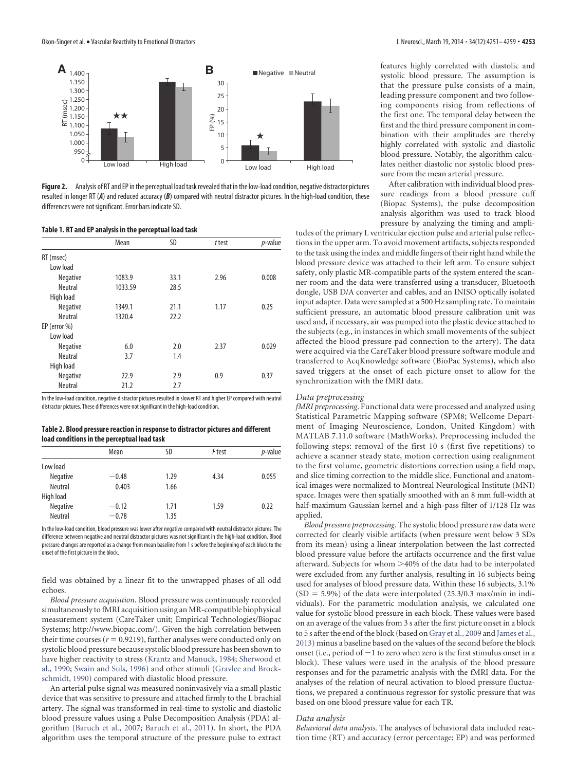

<span id="page-2-0"></span>**Figure 2.** Analysis of RT and EP in the perceptual load task revealed that in the low-load condition, negative distractor pictures resulted in longer RT (*A*) and reduced accuracy (*B*) compared with neutral distractor pictures. In the high-load condition, these differences were not significant. Error bars indicate SD.

#### <span id="page-2-1"></span>**Table 1. RT and EP analysis in the perceptual load task**

|                   | Mean    | SD   | t test | <i>p</i> -value |
|-------------------|---------|------|--------|-----------------|
| RT (msec)         |         |      |        |                 |
| Low load          |         |      |        |                 |
| Negative          | 1083.9  | 33.1 | 2.96   | 0.008           |
| Neutral           | 1033.59 | 28.5 |        |                 |
| High load         |         |      |        |                 |
| Negative          | 1349.1  | 21.1 | 1.17   | 0.25            |
| Neutral           | 1320.4  | 22.2 |        |                 |
| $EP$ (error $%$ ) |         |      |        |                 |
| Low load          |         |      |        |                 |
| <b>Negative</b>   | 6.0     | 2.0  | 2.37   | 0.029           |
| <b>Neutral</b>    | 3.7     | 1.4  |        |                 |
| High load         |         |      |        |                 |
| Negative          | 22.9    | 2.9  | 0.9    | 0.37            |
| <b>Neutral</b>    | 21.2    | 2.7  |        |                 |

In the low-load condition, negative distractor pictures resulted in slower RT and higher EP compared with neutral distractor pictures. These differences were not significant in the high-load condition.

<span id="page-2-2"></span>**Table 2. Blood pressure reaction in response to distractor pictures and different load conditions in the perceptual load task**

|                | Mean    | SD   | <i>F</i> test | <i>p</i> -value |
|----------------|---------|------|---------------|-----------------|
|                |         |      |               |                 |
| Low load       |         |      |               |                 |
| Negative       | $-0.48$ | 1.29 | 4.34          | 0.055           |
| <b>Neutral</b> | 0.403   | 1.66 |               |                 |
| High load      |         |      |               |                 |
| Negative       | $-0.12$ | 1.71 | 1.59          | 0.22            |
| <b>Neutral</b> | $-0.78$ | 1.35 |               |                 |

In the low-load condition, blood pressure was lower after negative compared with neutral distractor pictures. The difference between negative and neutral distractor pictures was not significant in the high-load condition. Blood pressure changes are reported as a change from mean baseline from 1 s before the beginning of each block to the onset of the first picture in the block.

field was obtained by a linear fit to the unwrapped phases of all odd echoes

*Blood pressure acquisition*. Blood pressure was continuously recorded simultaneously to fMRI acquisition using an MR-compatible biophysical measurement system (CareTaker unit; Empirical Technologies/Biopac Systems; [http://www.biopac.com/\)](http://www.biopac.com/). Given the high correlation between their time courses ( $r = 0.9219$ ), further analyses were conducted only on systolic blood pressure because systolic blood pressure has been shown to have higher reactivity to stress [\(Krantz and Manuck, 1984;](#page-8-17) [Sherwood et](#page-8-18) [al., 1990;](#page-8-18) [Swain and Suls, 1996\)](#page-8-19) and other stimuli [\(Gravlee and Brock](#page-8-20)[schmidt, 1990\)](#page-8-20) compared with diastolic blood pressure.

An arterial pulse signal was measured noninvasively via a small plastic device that was sensitive to pressure and attached firmly to the L brachial artery. The signal was transformed in real-time to systolic and diastolic blood pressure values using a Pulse Decomposition Analysis (PDA) algorithm [\(Baruch et al., 2007;](#page-7-0) [Baruch et al., 2011\)](#page-7-1). In short, the PDA algorithm uses the temporal structure of the pressure pulse to extract features highly correlated with diastolic and systolic blood pressure. The assumption is that the pressure pulse consists of a main, leading pressure component and two following components rising from reflections of the first one. The temporal delay between the first and the third pressure component in combination with their amplitudes are thereby highly correlated with systolic and diastolic blood pressure. Notably, the algorithm calculates neither diastolic nor systolic blood pressure from the mean arterial pressure.

After calibration with individual blood pressure readings from a blood pressure cuff (Biopac Systems), the pulse decomposition analysis algorithm was used to track blood pressure by analyzing the timing and ampli-

tudes of the primary L ventricular ejection pulse and arterial pulse reflections in the upper arm. To avoid movement artifacts, subjects responded to the task using the index and middle fingers of their right hand while the blood pressure device was attached to their left arm. To ensure subject safety, only plastic MR-compatible parts of the system entered the scanner room and the data were transferred using a transducer, Bluetooth dongle, USB D/A converter and cables, and an INISO optically isolated input adapter. Data were sampled at a 500 Hz sampling rate. To maintain sufficient pressure, an automatic blood pressure calibration unit was used and, if necessary, air was pumped into the plastic device attached to the subjects (e.g., in instances in which small movements of the subject affected the blood pressure pad connection to the artery). The data were acquired via the CareTaker blood pressure software module and transferred to AcqKnowledge software (BioPac Systems), which also saved triggers at the onset of each picture onset to allow for the synchronization with the fMRI data.

### *Data preprocessing*

*fMRI preprocessing*. Functional data were processed and analyzed using Statistical Parametric Mapping software (SPM8; Wellcome Department of Imaging Neuroscience, London, United Kingdom) with MATLAB 7.11.0 software (MathWorks). Preprocessing included the following steps: removal of the first 10 s (first five repetitions) to achieve a scanner steady state, motion correction using realignment to the first volume, geometric distortions correction using a field map, and slice timing correction to the middle slice. Functional and anatomical images were normalized to Montreal Neurological Institute (MNI) space. Images were then spatially smoothed with an 8 mm full-width at half-maximum Gaussian kernel and a high-pass filter of 1/128 Hz was applied.

*Blood pressure preprocessing*. The systolic blood pressure raw data were corrected for clearly visible artifacts (when pressure went below 3 SDs from its mean) using a linear interpolation between the last corrected blood pressure value before the artifacts occurrence and the first value afterward. Subjects for whom  $>40\%$  of the data had to be interpolated were excluded from any further analysis, resulting in 16 subjects being used for analyses of blood pressure data. Within these 16 subjects, 3.1%  $(SD = 5.9%)$  of the data were interpolated  $(25.3/0.3 \text{ max/min in indi-}$ viduals). For the parametric modulation analysis, we calculated one value for systolic blood pressure in each block. These values were based on an average of the values from 3 s after the first picture onset in a block to 5 s after the end of the block (based on [Gray et al., 2009](#page-8-3) and [James et al.,](#page-8-21) [2013\)](#page-8-21) minus a baseline based on the values of the second before the block onset (i.e., period of  $-1$  to zero when zero is the first stimulus onset in a block). These values were used in the analysis of the blood pressure responses and for the parametric analysis with the fMRI data. For the analyses of the relation of neural activation to blood pressure fluctuations, we prepared a continuous regressor for systolic pressure that was based on one blood pressure value for each TR.

## *Data analysis*

*Behavioral data analysis*. The analyses of behavioral data included reaction time (RT) and accuracy (error percentage; EP) and was performed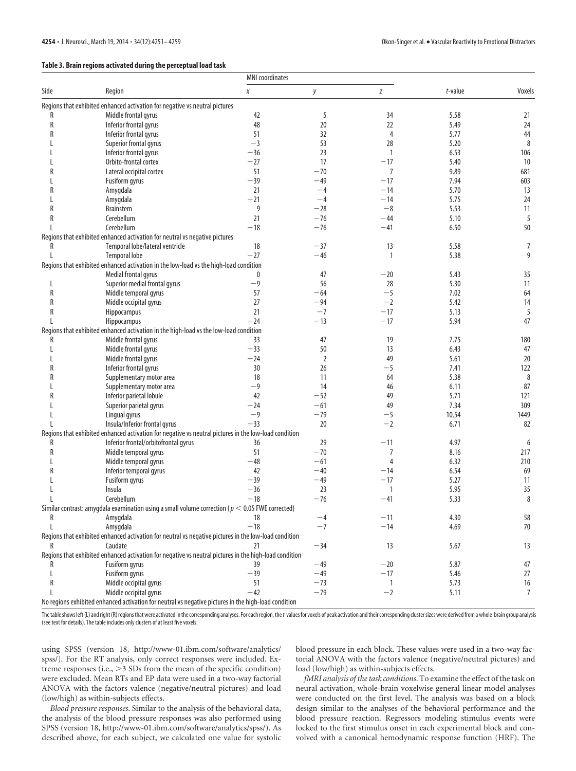## <span id="page-3-0"></span>**Table 3. Brain regions activated during the perceptual load task**

|      |                                                                                                        | <b>MNI</b> coordinates |       |                |         |        |
|------|--------------------------------------------------------------------------------------------------------|------------------------|-------|----------------|---------|--------|
| Side | Region                                                                                                 | Χ                      | у     | Z              | t-value | Voxels |
|      | Regions that exhibited enhanced activation for negative vs neutral pictures                            |                        |       |                |         |        |
| R    | Middle frontal gyrus                                                                                   | 42                     | 5     | 34             | 5.58    | 21     |
| R    | Inferior frontal gyrus                                                                                 | 48                     | 20    | 22             | 5.49    | 24     |
| R    | Inferior frontal gyrus                                                                                 | 51                     | 32    | $\overline{4}$ | 5.77    | 44     |
|      | Superior frontal gyrus                                                                                 | $-3$                   | 53    | 28             | 5.20    | 8      |
|      | Inferior frontal gyrus                                                                                 | $-36$                  | 23    | $\mathbf{1}$   | 6.53    | 106    |
|      | Orbito-frontal cortex                                                                                  | $-27$                  | 17    | $-17$          | 5.40    | 10     |
| R    | Lateral occipital cortex                                                                               | 51                     | $-70$ | 7              | 9.89    | 681    |
|      | Fusiform gyrus                                                                                         | $-39$                  | $-49$ | $-17$          | 7.94    | 603    |
| R    | Amygdala                                                                                               | 21                     | $-4$  | $-14$          | 5.70    | 13     |
|      | Amyqdala                                                                                               | $-21$                  | $-4$  | $-14$          | 5.75    | 24     |
| R    | <b>Brainstem</b>                                                                                       | 9                      | $-28$ | $-8$           | 5.53    | 11     |
| R    | Cerebellum                                                                                             | 21                     | $-76$ | $-44$          | 5.10    | 5      |
|      | Cerebellum                                                                                             | $-18$                  | $-76$ | $-41$          | 6.50    | 50     |
|      | Regions that exhibited enhanced activation for neutral vs negative pictures                            |                        |       |                |         |        |
| R    | Temporal lobe/lateral ventricle                                                                        | 18                     | $-37$ | 13             | 5.58    | 7      |
|      | <b>Temporal lobe</b>                                                                                   | $-27$                  | $-46$ | 1              | 5.38    | 9      |
|      | Regions that exhibited enhanced activation in the low-load vs the high-load condition                  |                        |       |                |         |        |
|      | Medial frontal gyrus                                                                                   | 0                      | 47    | $-20$          | 5.43    | 35     |
| L    | Superior medial frontal gyrus                                                                          | $-9$                   | 56    | 28             | 5.30    | 11     |
| R    | Middle temporal gyrus                                                                                  | 57                     | $-64$ | $-5$           | 7.02    | 64     |
| R    | Middle occipital gyrus                                                                                 | 27                     | $-94$ | $-2$           | 5.42    | 14     |
| R    | Hippocampus                                                                                            | 21                     | $-7$  | $-17$          | 5.13    | 5      |
|      | Hippocampus                                                                                            | $-24$                  | $-13$ | $-17$          | 5.94    | 47     |
|      | Regions that exhibited enhanced activation in the high-load vs the low-load condition                  |                        |       |                |         |        |
| R    | Middle frontal gyrus                                                                                   | 33                     | 47    | 19             | 7.75    | 180    |
| L    | Middle frontal gyrus                                                                                   | $-33$                  | 50    | 13             | 6.43    | 47     |
|      | Middle frontal gyrus                                                                                   | $-24$                  | 2     | 49             | 5.61    | 20     |
| R    | Inferior frontal gyrus                                                                                 | 30                     | 26    | $-5$           | 7.41    | 122    |
| R    | Supplementary motor area                                                                               | 18                     | 11    | 64             | 5.38    | 8      |
|      | Supplementary motor area                                                                               | $-9$                   | 14    | 46             | 6.11    | 87     |
| R    | Inferior parietal lobule                                                                               | 42                     | $-52$ | 49             | 5.71    | 121    |
|      | Superior parietal gyrus                                                                                | $-24$                  | $-61$ | 49             | 7.34    | 309    |
|      | Lingual gyrus                                                                                          | $-9$                   | $-79$ | $-5$           | 10.54   | 1449   |
|      | Insula/Inferior frontal gyrus                                                                          | $-33$                  | 20    | $-2$           | 6.71    | 82     |
|      | Regions that exhibited enhanced activation for negative vs neutral pictures in the low-load condition  |                        |       |                |         |        |
| R    | Inferior frontal/orbitofrontal gyrus                                                                   | 36                     | 29    | $-11$          | 4.97    | 6      |
| R    | Middle temporal gyrus                                                                                  | 51                     | $-70$ | 7              | 8.16    | 217    |
| L    | Middle temporal gyrus                                                                                  | $-48$                  | $-61$ | 4              | 6.32    | 210    |
| R    | Inferior temporal gyrus                                                                                | 42                     | $-40$ | $-14$          | 6.54    | 69     |
|      | Fusiform gyrus                                                                                         | $-39$                  | $-49$ | $-17$          | 5.27    | 11     |
|      | Insula                                                                                                 | $-36$                  | 23    | $\mathbf{1}$   | 5.95    | 35     |
|      | Cerebellum                                                                                             | $-18$                  | $-76$ | $-41$          | 5.33    | 8      |
|      | Similar contrast: amygdala examination using a small volume correction ( $p < 0.05$ FWE corrected)     |                        |       |                |         |        |
| R    | Amygdala                                                                                               | 18                     | $-4$  | $-11$          | 4.30    | 58     |
|      | Amygdala                                                                                               | $-18$                  | $-7$  | $-14$          | 4.69    | 70     |
|      | Regions that exhibited enhanced activation for neutral vs negative pictures in the low-load condition  |                        |       |                |         |        |
| R    | Caudate                                                                                                | 21                     | $-34$ | 13             | 5.67    | 13     |
|      | Regions that exhibited enhanced activation for negative vs neutral pictures in the high-load condition |                        |       |                |         |        |
| R    | Fusiform gyrus                                                                                         | 39                     | $-49$ | $-20$          | 5.87    | 47     |
|      | Fusiform gyrus                                                                                         | $-39$                  | $-49$ | $-17$          | 5.46    | 27     |
| R    | Middle occipital gyrus                                                                                 | 51                     | $-73$ | 1              | 5.73    | 16     |
|      | Middle occipital gyrus                                                                                 | $-42$                  | $-79$ | $-2$           | 5.11    | 7      |
|      | No regions exhibited enhanced activation for neutral vs negative pictures in the high-load condition   |                        |       |                |         |        |

The table shows left (L) and right (R) regions that were activated in the corresponding analyses. For each region, the t-values for voxels of peak activation and their corresponding cluster sizes were derived from a whole-(see text for details). The table includes only clusters of at least five voxels.

using SPSS (version 18, [http://www-01.ibm.com/software/analytics/](http://www-01.ibm.com/software/analytics/spss/) [spss/\)](http://www-01.ibm.com/software/analytics/spss/). For the RT analysis, only correct responses were included. Extreme responses (i.e.,  $>3$  SDs from the mean of the specific condition) were excluded. Mean RTs and EP data were used in a two-way factorial ANOVA with the factors valence (negative/neutral pictures) and load (low/high) as within-subjects effects.

*Blood pressure responses*. Similar to the analysis of the behavioral data, the analysis of the blood pressure responses was also performed using SPSS (version 18, [http://www-01.ibm.com/software/analytics/spss/\)](http://www-01.ibm.com/software/analytics/spss/). As described above, for each subject, we calculated one value for systolic blood pressure in each block. These values were used in a two-way factorial ANOVA with the factors valence (negative/neutral pictures) and load (low/high) as within-subjects effects.

*fMRI analysis of the task conditions*. To examine the effect of the task on neural activation, whole-brain voxelwise general linear model analyses were conducted on the first level. The analysis was based on a block design similar to the analyses of the behavioral performance and the blood pressure reaction. Regressors modeling stimulus events were locked to the first stimulus onset in each experimental block and convolved with a canonical hemodynamic response function (HRF). The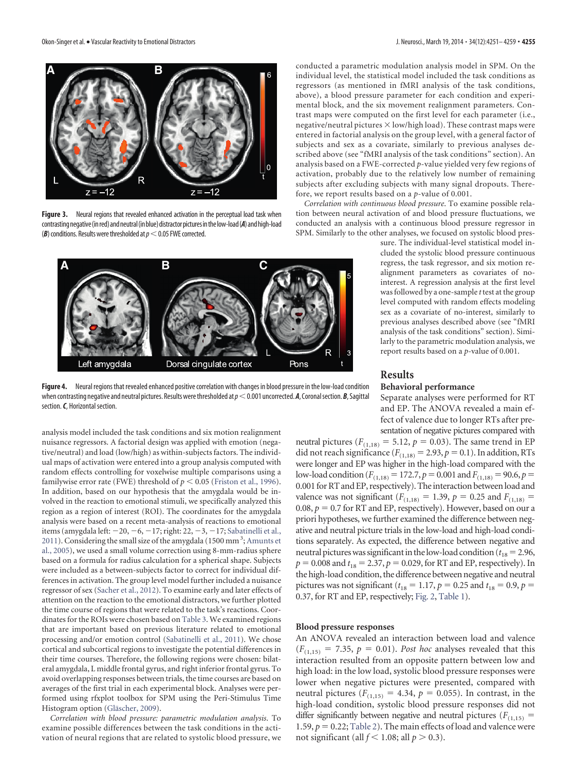

<span id="page-4-0"></span>Figure 3. Neural regions that revealed enhanced activation in the perceptual load task when contrasting negative (in red) and neutral (in blue) distractor pictures in the low-load (A) and high-load ( $\mathbf{B}$ ) conditions. Results were thresholded at  $p<0.05$  FWE corrected.



<span id="page-4-1"></span>**Figure 4.** Neural regions that revealed enhanced positive correlation with changes in blood pressure in the low-load condition when contrasting negative and neutral pictures. Results were thresholded at  $p<$  0.001 uncorrected.  $A$ , Coronal section.  $B$ , Sagittal section.*C*, Horizontal section.

analysis model included the task conditions and six motion realignment nuisance regressors. A factorial design was applied with emotion (negative/neutral) and load (low/high) as within-subjects factors. The individual maps of activation were entered into a group analysis computed with random effects controlling for voxelwise multiple comparisons using a familywise error rate (FWE) threshold of  $p < 0.05$  [\(Friston et al., 1996\)](#page-8-22). In addition, based on our hypothesis that the amygdala would be involved in the reaction to emotional stimuli, we specifically analyzed this region as a region of interest (ROI). The coordinates for the amygdala analysis were based on a recent meta-analysis of reactions to emotional items (amygdala left:  $-20, -6, -17$ ; right: 22,  $-3, -17$ ; [Sabatinelli et al.,](#page-8-23) [2011\)](#page-8-23). Considering the small size of the amygdala (1500 mm<sup>3</sup>; [Amunts et](#page-7-2) [al., 2005\)](#page-7-2), we used a small volume correction using 8-mm-radius sphere based on a formula for radius calculation for a spherical shape. Subjects were included as a between-subjects factor to correct for individual differences in activation. The group level model further included a nuisance regressor of sex [\(Sacher et al., 2012\)](#page-8-24). To examine early and later effects of attention on the reaction to the emotional distractors, we further plotted the time course of regions that were related to the task's reactions. Coordinates for the ROIs were chosen based on [Table 3.](#page-3-0) We examined regions that are important based on previous literature related to emotional processing and/or emotion control [\(Sabatinelli et al., 2011\)](#page-8-23). We chose cortical and subcortical regions to investigate the potential differences in their time courses. Therefore, the following regions were chosen: bilateral amygdala, L middle frontal gyrus, and right inferior frontal gyrus. To avoid overlapping responses between trials, the time courses are based on averages of the first trial in each experimental block. Analyses were performed using rfxplot toolbox for SPM using the Peri-Stimulus Time Histogram option (Gläscher, 2009).

*Correlation with blood pressure: parametric modulation analysis*. To examine possible differences between the task conditions in the activation of neural regions that are related to systolic blood pressure, we conducted a parametric modulation analysis model in SPM. On the individual level, the statistical model included the task conditions as regressors (as mentioned in fMRI analysis of the task conditions, above), a blood pressure parameter for each condition and experimental block, and the six movement realignment parameters. Contrast maps were computed on the first level for each parameter (i.e., negative/neutral pictures  $\times$  low/high load). These contrast maps were entered in factorial analysis on the group level, with a general factor of subjects and sex as a covariate, similarly to previous analyses described above (see "fMRI analysis of the task conditions" section). An analysis based on a FWE-corrected *p*-value yielded very few regions of activation, probably due to the relatively low number of remaining subjects after excluding subjects with many signal dropouts. Therefore, we report results based on a *p*-value of 0.001.

*Correlation with continuous blood pressure*. To examine possible relation between neural activation of and blood pressure fluctuations, we conducted an analysis with a continuous blood pressure regressor in SPM. Similarly to the other analyses, we focused on systolic blood pres-

> sure. The individual-level statistical model included the systolic blood pressure continuous regress, the task regressor, and six motion realignment parameters as covariates of nointerest. A regression analysis at the first level was followed by a one-sample *t*test at the group level computed with random effects modeling sex as a covariate of no-interest, similarly to previous analyses described above (see "fMRI analysis of the task conditions" section). Similarly to the parametric modulation analysis, we report results based on a *p*-value of 0.001.

# **Results Behavioral performance**

Separate analyses were performed for RT and EP. The ANOVA revealed a main effect of valence due to longer RTs after presentation of negative pictures compared with neutral pictures ( $F_{(1,18)} = 5.12$ ,  $p = 0.03$ ). The same trend in EP did not reach significance ( $F_{(1,18)} = 2.93$ ,  $p = 0.1$ ). In addition, RTs were longer and EP was higher in the high-load compared with the low-load condition ( $F_{(1,18)} = 172.7$ ,  $p = 0.001$  and  $F_{(1,18)} = 90.6$ ,  $p =$ 0.001 for RT and EP, respectively). The interaction between load and valence was not significant ( $F_{(1,18)} = 1.39$ ,  $p = 0.25$  and  $F_{(1,18)} =$  $0.08, p = 0.7$  for RT and EP, respectively). However, based on our a priori hypotheses, we further examined the difference between negative and neutral picture trials in the low-load and high-load conditions separately. As expected, the difference between negative and neutral pictures was significant in the low-load condition ( $t_{18} = 2.96$ ,  $p = 0.008$  and  $t_{18} = 2.37$ ,  $p = 0.029$ , for RT and EP, respectively). In the high-load condition, the difference between negative and neutral pictures was not significant ( $t_{18} = 1.17$ ,  $p = 0.25$  and  $t_{18} = 0.9$ ,  $p =$ 0.37, for RT and EP, respectively; [Fig. 2,](#page-2-0) [Table 1\)](#page-2-1).

# **Blood pressure responses**

An ANOVA revealed an interaction between load and valence  $(F_{(1,15)} = 7.35, p = 0.01)$ . *Post hoc* analyses revealed that this interaction resulted from an opposite pattern between low and high load: in the low load, systolic blood pressure responses were lower when negative pictures were presented, compared with neutral pictures ( $F_{(1,15)} = 4.34$ ,  $p = 0.055$ ). In contrast, in the high-load condition, systolic blood pressure responses did not differ significantly between negative and neutral pictures ( $F_{(1,15)}$  = 1.59,  $p = 0.22$ ; [Table 2\)](#page-2-2). The main effects of load and valence were not significant (all  $f < 1.08$ ; all  $p > 0.3$ ).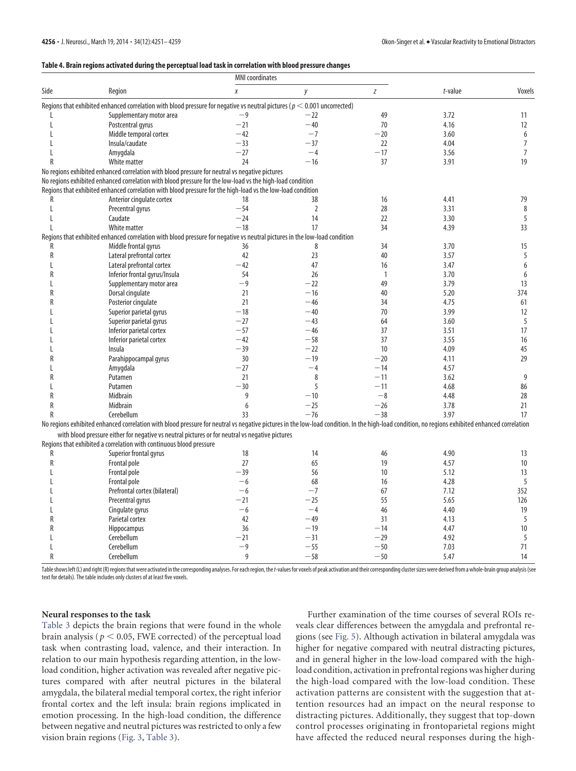## <span id="page-5-0"></span>**Table 4. Brain regions activated during the perceptual load task in correlation with blood pressure changes**

|      |                                                                                                                                                                                                 | <b>MNI</b> coordinates |                |                  |         |                |
|------|-------------------------------------------------------------------------------------------------------------------------------------------------------------------------------------------------|------------------------|----------------|------------------|---------|----------------|
| Side | Region                                                                                                                                                                                          | $\chi$                 | у              | $\boldsymbol{Z}$ | t-value | Voxels         |
|      | Regions that exhibited enhanced correlation with blood pressure for negative vs neutral pictures ( $p < 0.001$ uncorrected)                                                                     |                        |                |                  |         |                |
|      | Supplementary motor area                                                                                                                                                                        | $-9$                   | $-22$          | 49               | 3.72    | 11             |
|      | Postcentral gyrus                                                                                                                                                                               | $-21$                  | $-40$          | 70               | 4.16    | 12             |
|      | Middle temporal cortex                                                                                                                                                                          | $-42$                  | $-7$           | $-20$            | 3.60    | 6              |
|      | Insula/caudate                                                                                                                                                                                  | $-33$                  | $-37$          | 22               | 4.04    | $\overline{7}$ |
|      | Amygdala                                                                                                                                                                                        | $-27$                  | $-4$           | $-17$            | 3.56    | $\overline{7}$ |
| R    | White matter                                                                                                                                                                                    | 24                     | $-16$          | 37               | 3.91    | 19             |
|      | No regions exhibited enhanced correlation with blood pressure for neutral vs negative pictures                                                                                                  |                        |                |                  |         |                |
|      | No regions exhibited enhanced correlation with blood pressure for the low-load vs the high-load condition                                                                                       |                        |                |                  |         |                |
|      | Regions that exhibited enhanced correlation with blood pressure for the high-load vs the low-load condition                                                                                     |                        |                |                  |         |                |
| R    | Anterior cingulate cortex                                                                                                                                                                       | 18                     | 38             | 16               | 4.41    | 79             |
| L    | Precentral gyrus                                                                                                                                                                                | $-54$                  | $\overline{2}$ | 28               | 3.31    | 8              |
| L    | Caudate                                                                                                                                                                                         | $-24$                  | 14             | 22               | 3.30    | 5              |
|      | White matter                                                                                                                                                                                    | $-18$                  | 17             | 34               | 4.39    | 33             |
|      | Regions that exhibited enhanced correlation with blood pressure for negative vs neutral pictures in the low-load condition                                                                      |                        |                |                  |         |                |
| R    | Middle frontal gyrus                                                                                                                                                                            | 36                     | 8              | 34               | 3.70    | 15             |
| R    | Lateral prefrontal cortex                                                                                                                                                                       | 42                     | 23             | 40               | 3.57    | 5              |
|      | Lateral prefrontal cortex                                                                                                                                                                       | $-42$                  | 47             | 16               | 3.47    | 6              |
| R    | Inferior frontal gyrus/Insula                                                                                                                                                                   | 54                     | 26             | $\mathbf{1}$     | 3.70    | 6              |
|      | Supplementary motor area                                                                                                                                                                        | $-9$                   | $-22$          | 49               | 3.79    | 13             |
| R    | Dorsal cingulate                                                                                                                                                                                | 21                     | $-16$          | 40               | 5.20    | 374            |
|      |                                                                                                                                                                                                 |                        |                |                  |         |                |
| R    | Posterior cingulate                                                                                                                                                                             | 21                     | $-46$          | 34               | 4.75    | 61             |
|      | Superior parietal gyrus                                                                                                                                                                         | $-18$                  | $-40$          | 70               | 3.99    | 12             |
|      | Superior parietal gyrus                                                                                                                                                                         | $-27$                  | $-43$          | 64               | 3.60    | 5              |
|      | Inferior parietal cortex                                                                                                                                                                        | $-57$                  | $-46$          | 37               | 3.51    | 17             |
|      | Inferior parietal cortex                                                                                                                                                                        | $-42$                  | $-58$          | 37               | 3.55    | 16             |
|      | Insula                                                                                                                                                                                          | $-39$                  | $-22$          | 10               | 4.09    | 45             |
| R    | Parahippocampal gyrus                                                                                                                                                                           | 30                     | $-19$          | $-20$            | 4.11    | 29             |
|      | Amyqdala                                                                                                                                                                                        | $-27$                  | $-4$           | $-14$            | 4.57    |                |
| R    | Putamen                                                                                                                                                                                         | 21                     | 8              | $-11$            | 3.62    | 9              |
|      | Putamen                                                                                                                                                                                         | $-30$                  | 5              | $-11$            | 4.68    | 86             |
| R    | Midbrain                                                                                                                                                                                        | 9                      | $-10$          | $-8$             | 4.48    | 28             |
| R    | Midbrain                                                                                                                                                                                        | 6                      | $-25$          | $-26$            | 3.78    | 21             |
| R    | Cerebellum                                                                                                                                                                                      | 33                     | $-76$          | $-38$            | 3.97    | 17             |
|      | No regions exhibited enhanced correlation with blood pressure for neutral vs negative pictures in the low-load condition. In the high-load condition, no regions exhibited enhanced correlation |                        |                |                  |         |                |
|      | with blood pressure either for negative vs neutral pictures or for neutral vs negative pictures                                                                                                 |                        |                |                  |         |                |
|      | Regions that exhibited a correlation with continuous blood pressure                                                                                                                             |                        |                |                  |         |                |
| R    | Superior frontal gyrus                                                                                                                                                                          | 18                     | 14             | 46               | 4.90    | 13             |
| R    | Frontal pole                                                                                                                                                                                    | 27                     | 65             | 19               | 4.57    | 10             |
|      | Frontal pole                                                                                                                                                                                    | $-39$                  | 56             | 10               | 5.12    | 13             |
|      | <b>Frontal pole</b>                                                                                                                                                                             | $-6$                   | 68             | 16               | 4.28    | 5              |
|      | Prefrontal cortex (bilateral)                                                                                                                                                                   | $-6$                   | $-7$           | 67               | 7.12    | 352            |
|      | Precentral gyrus                                                                                                                                                                                | $-21$                  | $-25$          | 55               | 5.65    | 126            |
|      | Cingulate gyrus                                                                                                                                                                                 | $-6$                   | $-4$           | 46               | 4.40    | 19             |
| R    | Parietal cortex                                                                                                                                                                                 | 42                     | $-49$          | 31               | 4.13    | 5              |
| R    | Hippocampus                                                                                                                                                                                     | 36                     | $-19$          | $-14$            | 4.47    | 10             |
|      | Cerebellum                                                                                                                                                                                      | $-21$                  | $-31$          | $-29$            | 4.92    | 5              |
|      | Cerebellum                                                                                                                                                                                      | $-9$                   | $-55$          | $-50$            | 7.03    | 71             |
| R    | Cerebellum                                                                                                                                                                                      | 9                      | $-58$          | $-50$            | 5.47    | 14             |
|      |                                                                                                                                                                                                 |                        |                |                  |         |                |

Table shows left (L) and right (R) regions that were activated in the corresponding analyses. For each region, the t-values for voxels of peak activation and their corresponding cluster sizes were derived from a whole-brai text for details). The table includes only clusters of at least five voxels.

## **Neural responses to the task**

[Table 3](#page-3-0) depicts the brain regions that were found in the whole brain analysis ( $p < 0.05$ , FWE corrected) of the perceptual load task when contrasting load, valence, and their interaction. In relation to our main hypothesis regarding attention, in the lowload condition, higher activation was revealed after negative pictures compared with after neutral pictures in the bilateral amygdala, the bilateral medial temporal cortex, the right inferior frontal cortex and the left insula: brain regions implicated in emotion processing. In the high-load condition, the difference between negative and neutral pictures was restricted to only a few vision brain regions [\(Fig. 3,](#page-4-0) [Table 3\)](#page-3-0).

Further examination of the time courses of several ROIs reveals clear differences between the amygdala and prefrontal regions (see [Fig. 5\)](#page-6-0). Although activation in bilateral amygdala was higher for negative compared with neutral distracting pictures, and in general higher in the low-load compared with the highload condition, activation in prefrontal regions was higher during the high-load compared with the low-load condition. These activation patterns are consistent with the suggestion that attention resources had an impact on the neural response to distracting pictures. Additionally, they suggest that top-down control processes originating in frontoparietal regions might have affected the reduced neural responses during the high-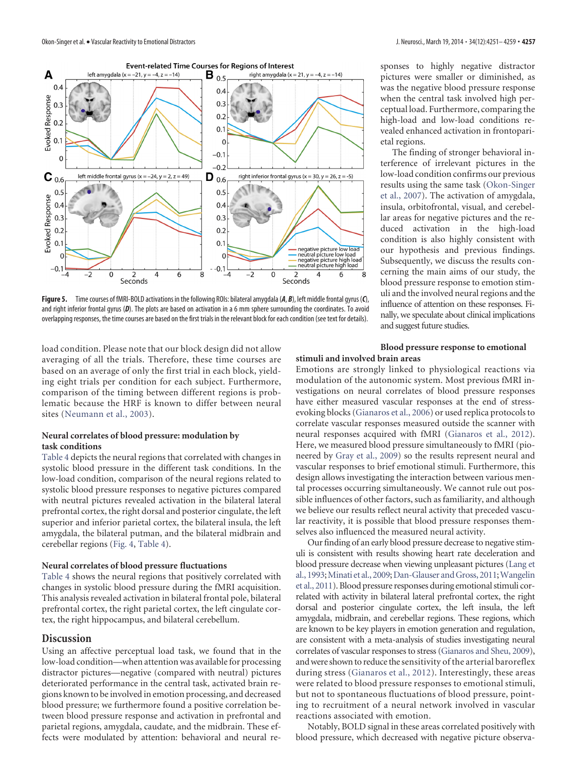

<span id="page-6-0"></span>**Figure 5.** Time courses of fMRI-BOLD activations in the following ROIs: bilateral amygdala (*A*, *B*), left middle frontal gyrus (*C*), and right inferior frontal gyrus (*D*). The plots are based on activation in a 6 mm sphere surrounding the coordinates. To avoid overlapping responses, the time courses are based on the first trials in the relevant block for each condition (see text for details).

load condition. Please note that our block design did not allow averaging of all the trials. Therefore, these time courses are based on an average of only the first trial in each block, yielding eight trials per condition for each subject. Furthermore, comparison of the timing between different regions is problematic because the HRF is known to differ between neural sites [\(Neumann et al., 2003\)](#page-8-26).

# **Neural correlates of blood pressure: modulation by task conditions**

[Table 4](#page-5-0) depicts the neural regions that correlated with changes in systolic blood pressure in the different task conditions. In the low-load condition, comparison of the neural regions related to systolic blood pressure responses to negative pictures compared with neutral pictures revealed activation in the bilateral lateral prefrontal cortex, the right dorsal and posterior cingulate, the left superior and inferior parietal cortex, the bilateral insula, the left amygdala, the bilateral putman, and the bilateral midbrain and cerebellar regions [\(Fig. 4,](#page-4-1) [Table 4\)](#page-5-0).

## **Neural correlates of blood pressure fluctuations**

[Table 4](#page-5-0) shows the neural regions that positively correlated with changes in systolic blood pressure during the fMRI acquisition. This analysis revealed activation in bilateral frontal pole, bilateral prefrontal cortex, the right parietal cortex, the left cingulate cortex, the right hippocampus, and bilateral cerebellum.

# **Discussion**

Using an affective perceptual load task, we found that in the low-load condition—when attention was available for processing distractor pictures—negative (compared with neutral) pictures deteriorated performance in the central task, activated brain regions known to be involved in emotion processing, and decreased blood pressure; we furthermore found a positive correlation between blood pressure response and activation in prefrontal and parietal regions, amygdala, caudate, and the midbrain. These effects were modulated by attention: behavioral and neural responses to highly negative distractor pictures were smaller or diminished, as was the negative blood pressure response when the central task involved high perceptual load. Furthermore, comparing the high-load and low-load conditions revealed enhanced activation in frontoparietal regions.

The finding of stronger behavioral interference of irrelevant pictures in the low-load condition confirms our previous results using the same task [\(Okon-Singer](#page-8-9) [et al., 2007\)](#page-8-9). The activation of amygdala, insula, orbitofrontal, visual, and cerebellar areas for negative pictures and the reduced activation in the high-load condition is also highly consistent with our hypothesis and previous findings. Subsequently, we discuss the results concerning the main aims of our study, the blood pressure response to emotion stimuli and the involved neural regions and the influence of attention on these responses. Finally, we speculate about clinical implications and suggest future studies.

## **Blood pressure response to emotional stimuli and involved brain areas**

Emotions are strongly linked to physiological reactions via modulation of the autonomic system. Most previous fMRI investigations on neural correlates of blood pressure responses have either measured vascular responses at the end of stressevoking blocks [\(Gianaros et al., 2006\)](#page-8-27) or used replica protocols to correlate vascular responses measured outside the scanner with neural responses acquired with fMRI [\(Gianaros et al., 2012\)](#page-8-28). Here, we measured blood pressure simultaneously to fMRI (pioneered by [Gray et al., 2009\)](#page-8-3) so the results represent neural and vascular responses to brief emotional stimuli. Furthermore, this design allows investigating the interaction between various mental processes occurring simultaneously. We cannot rule out possible influences of other factors, such as familiarity, and although we believe our results reflect neural activity that preceded vascular reactivity, it is possible that blood pressure responses themselves also influenced the measured neural activity.

Our finding of an early blood pressure decrease to negative stimuli is consistent with results showing heart rate deceleration and blood pressure decrease when viewing unpleasant pictures [\(Lang et](#page-8-29) [al., 1993;](#page-8-29) [Minati et al., 2009;](#page-8-10) [Dan-Glauser and Gross, 2011;](#page-8-11) [Wangelin](#page-8-30) [et al., 2011\)](#page-8-30). Blood pressure responses during emotional stimuli correlated with activity in bilateral lateral prefrontal cortex, the right dorsal and posterior cingulate cortex, the left insula, the left amygdala, midbrain, and cerebellar regions. These regions, which are known to be key players in emotion generation and regulation, are consistent with a meta-analysis of studies investigating neural correlates of vascular responses to stress [\(Gianaros and Sheu, 2009\)](#page-8-2), and were shown to reduce the sensitivity of the arterial baroreflex during stress [\(Gianaros et al., 2012\)](#page-8-28). Interestingly, these areas were related to blood pressure responses to emotional stimuli, but not to spontaneous fluctuations of blood pressure, pointing to recruitment of a neural network involved in vascular reactions associated with emotion.

Notably, BOLD signal in these areas correlated positively with blood pressure, which decreased with negative picture observa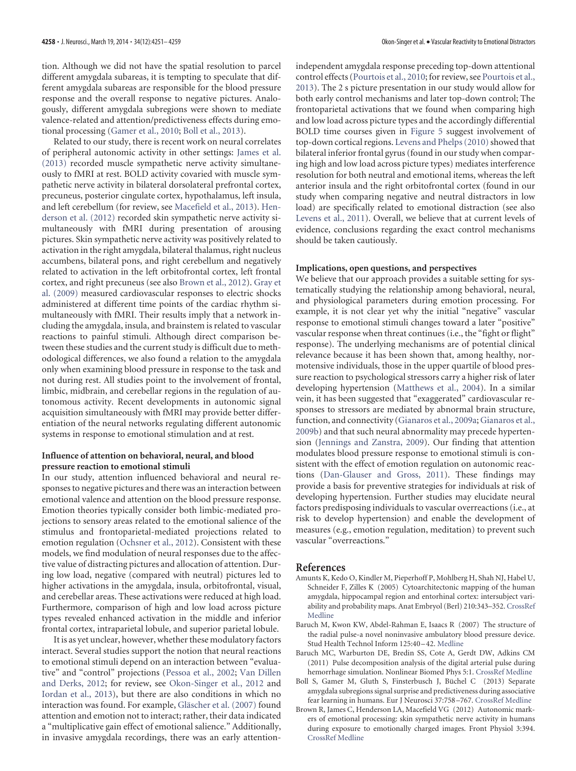tion. Although we did not have the spatial resolution to parcel different amygdala subareas, it is tempting to speculate that different amygdala subareas are responsible for the blood pressure response and the overall response to negative pictures. Analogously, different amygdala subregions were shown to mediate valence-related and attention/predictiveness effects during emotional processing [\(Gamer et al., 2010;](#page-8-31) [Boll et al., 2013\)](#page-7-3).

Related to our study, there is recent work on neural correlates of peripheral autonomic activity in other settings: [James et al.](#page-8-21) [\(2013\)](#page-8-21) recorded muscle sympathetic nerve activity simultaneously to fMRI at rest. BOLD activity covaried with muscle sympathetic nerve activity in bilateral dorsolateral prefrontal cortex, precuneus, posterior cingulate cortex, hypothalamus, left insula, and left cerebellum (for review, see [Macefield et al., 2013\)](#page-8-32). [Hen](#page-8-33)[derson et al. \(2012\)](#page-8-33) recorded skin sympathetic nerve activity simultaneously with fMRI during presentation of arousing pictures. Skin sympathetic nerve activity was positively related to activation in the right amygdala, bilateral thalamus, right nucleus accumbens, bilateral pons, and right cerebellum and negatively related to activation in the left orbitofrontal cortex, left frontal cortex, and right precuneus (see also [Brown et al., 2012\)](#page-7-4). [Gray et](#page-8-3) [al. \(2009\)](#page-8-3) measured cardiovascular responses to electric shocks administered at different time points of the cardiac rhythm simultaneously with fMRI. Their results imply that a network including the amygdala, insula, and brainstem is related to vascular reactions to painful stimuli. Although direct comparison between these studies and the current study is difficult due to methodological differences, we also found a relation to the amygdala only when examining blood pressure in response to the task and not during rest. All studies point to the involvement of frontal, limbic, midbrain, and cerebellar regions in the regulation of autonomous activity. Recent developments in autonomic signal acquisition simultaneously with fMRI may provide better differentiation of the neural networks regulating different autonomic systems in response to emotional stimulation and at rest.

# **Influence of attention on behavioral, neural, and blood pressure reaction to emotional stimuli**

In our study, attention influenced behavioral and neural responses to negative pictures and there was an interaction between emotional valence and attention on the blood pressure response. Emotion theories typically consider both limbic-mediated projections to sensory areas related to the emotional salience of the stimulus and frontoparietal-mediated projections related to emotion regulation [\(Ochsner et al., 2012\)](#page-8-34). Consistent with these models, we find modulation of neural responses due to the affective value of distracting pictures and allocation of attention. During low load, negative (compared with neutral) pictures led to higher activations in the amygdala, insula, orbitofrontal, visual, and cerebellar areas. These activations were reduced at high load. Furthermore, comparison of high and low load across picture types revealed enhanced activation in the middle and inferior frontal cortex, intraparietal lobule, and superior parietal lobule.

It is as yet unclear, however, whether these modulatory factors interact. Several studies support the notion that neural reactions to emotional stimuli depend on an interaction between "evaluative" and "control" projections [\(Pessoa et al., 2002;](#page-8-4) [Van Dillen](#page-8-35) [and Derks, 2012;](#page-8-35) for review, see [Okon-Singer et al., 2012](#page-8-36) and [Iordan et al., 2013\)](#page-8-37), but there are also conditions in which no interaction was found. For example, Gläscher et al. (2007) found attention and emotion not to interact; rather, their data indicated a "multiplicative gain effect of emotional salience." Additionally, in invasive amygdala recordings, there was an early attentionindependent amygdala response preceding top-down attentional control effects [\(Pourtois et al., 2010;](#page-8-39) for review, see [Pourtois et al.,](#page-8-7) [2013\)](#page-8-7). The 2 s picture presentation in our study would allow for both early control mechanisms and later top-down control; The frontoparietal activations that we found when comparing high and low load across picture types and the accordingly differential BOLD time courses given in [Figure 5](#page-6-0) suggest involvement of top-down cortical regions. [Levens and Phelps \(2010\)](#page-8-40) showed that bilateral inferior frontal gyrus (found in our study when comparing high and low load across picture types) mediates interference resolution for both neutral and emotional items, whereas the left anterior insula and the right orbitofrontal cortex (found in our study when comparing negative and neutral distractors in low load) are specifically related to emotional distraction (see also [Levens et al., 2011\)](#page-8-41). Overall, we believe that at current levels of evidence, conclusions regarding the exact control mechanisms should be taken cautiously.

## **Implications, open questions, and perspectives**

We believe that our approach provides a suitable setting for systematically studying the relationship among behavioral, neural, and physiological parameters during emotion processing. For example, it is not clear yet why the initial "negative" vascular response to emotional stimuli changes toward a later "positive" vascular response when threat continues (i.e., the "fight or flight" response). The underlying mechanisms are of potential clinical relevance because it has been shown that, among healthy, normotensive individuals, those in the upper quartile of blood pressure reaction to psychological stressors carry a higher risk of later developing hypertension [\(Matthews et al., 2004\)](#page-8-1). In a similar vein, it has been suggested that "exaggerated" cardiovascular responses to stressors are mediated by abnormal brain structure, function, and connectivity [\(Gianaros et al., 2009a;](#page-8-42) [Gianaros et al.,](#page-8-43) [2009b\)](#page-8-43) and that such neural abnormality may precede hypertension [\(Jennings and Zanstra, 2009\)](#page-8-44). Our finding that attention modulates blood pressure response to emotional stimuli is consistent with the effect of emotion regulation on autonomic reactions [\(Dan-Glauser and Gross, 2011\)](#page-8-11). These findings may provide a basis for preventive strategies for individuals at risk of developing hypertension. Further studies may elucidate neural factors predisposing individuals to vascular overreactions (i.e., at risk to develop hypertension) and enable the development of measures (e.g., emotion regulation, meditation) to prevent such vascular "overreactions."

## <span id="page-7-2"></span>**References**

- Amunts K, Kedo O, Kindler M, Pieperhoff P, Mohlberg H, Shah NJ, Habel U, Schneider F, Zilles K (2005) Cytoarchitectonic mapping of the human amygdala, hippocampal region and entorhinal cortex: intersubject variability and probability maps. Anat Embryol (Berl) 210:343–352. [CrossRef](http://dx.doi.org/10.1007/s00429-005-0025-5) [Medline](http://www.ncbi.nlm.nih.gov/pubmed/16208455)
- <span id="page-7-0"></span>Baruch M, Kwon KW, Abdel-Rahman E, Isaacs R (2007) The structure of the radial pulse-a novel noninvasive ambulatory blood pressure device. Stud Health Technol Inform 125:40 –42. [Medline](http://www.ncbi.nlm.nih.gov/pubmed/17377230)
- <span id="page-7-1"></span>Baruch MC, Warburton DE, Bredin SS, Cote A, Gerdt DW, Adkins CM (2011) Pulse decomposition analysis of the digital arterial pulse during hemorrhage simulation. Nonlinear Biomed Phys 5:1. [CrossRef](http://dx.doi.org/10.1186/1753-4631-5-1) [Medline](http://www.ncbi.nlm.nih.gov/pubmed/21226911)
- <span id="page-7-3"></span>Boll S, Gamer M, Gluth S, Finsterbusch J, Büchel C (2013) Separate amygdala subregions signal surprise and predictiveness during associative fear learning in humans. Eur J Neurosci 37:758 –767. [CrossRef](http://dx.doi.org/10.1111/ejn.12094) [Medline](http://www.ncbi.nlm.nih.gov/pubmed/23278978)
- <span id="page-7-4"></span>Brown R, James C, Henderson LA, Macefield VG (2012) Autonomic markers of emotional processing: skin sympathetic nerve activity in humans during exposure to emotionally charged images. Front Physiol 3:394. [CrossRef](http://dx.doi.org/10.3389/fphys.2012.00394) [Medline](http://www.ncbi.nlm.nih.gov/pubmed/23060818)